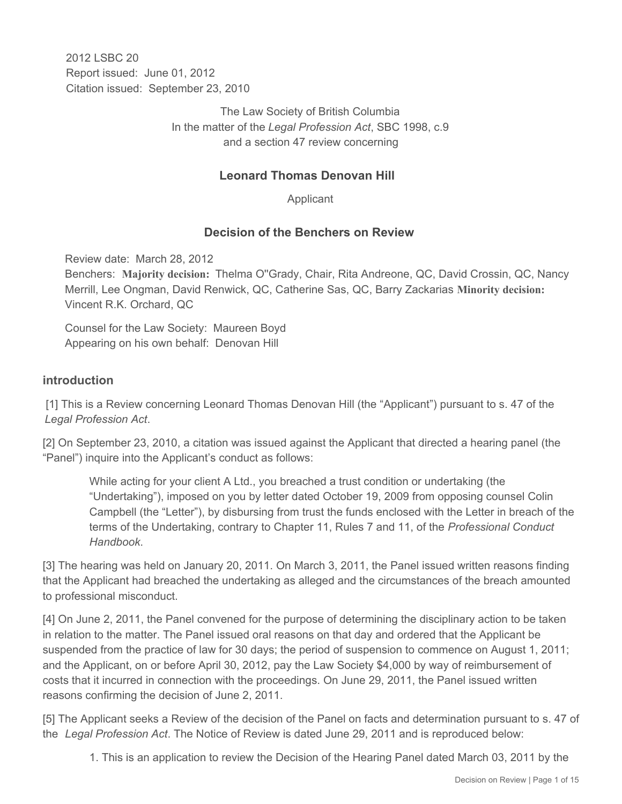2012 LSBC 20 Report issued: June 01, 2012 Citation issued: September 23, 2010

> The Law Society of British Columbia In the matter of the *Legal Profession Act*, SBC 1998, c.9 and a section 47 review concerning

## **Leonard Thomas Denovan Hill**

Applicant

## **Decision of the Benchers on Review**

Review date: March 28, 2012

Benchers: **Majority decision:** Thelma O''Grady, Chair, Rita Andreone, QC, David Crossin, QC, Nancy Merrill, Lee Ongman, David Renwick, QC, Catherine Sas, QC, Barry Zackarias **Minority decision:** Vincent R.K. Orchard, QC

Counsel for the Law Society: Maureen Boyd Appearing on his own behalf: Denovan Hill

#### **introduction**

 [1] This is a Review concerning Leonard Thomas Denovan Hill (the "Applicant") pursuant to s. 47 of the *Legal Profession Act*.

[2] On September 23, 2010, a citation was issued against the Applicant that directed a hearing panel (the "Panel") inquire into the Applicant's conduct as follows:

While acting for your client A Ltd., you breached a trust condition or undertaking (the "Undertaking"), imposed on you by letter dated October 19, 2009 from opposing counsel Colin Campbell (the "Letter"), by disbursing from trust the funds enclosed with the Letter in breach of the terms of the Undertaking, contrary to Chapter 11, Rules 7 and 11, of the *Professional Conduct Handbook*.

[3] The hearing was held on January 20, 2011. On March 3, 2011, the Panel issued written reasons finding that the Applicant had breached the undertaking as alleged and the circumstances of the breach amounted to professional misconduct.

[4] On June 2, 2011, the Panel convened for the purpose of determining the disciplinary action to be taken in relation to the matter. The Panel issued oral reasons on that day and ordered that the Applicant be suspended from the practice of law for 30 days; the period of suspension to commence on August 1, 2011; and the Applicant, on or before April 30, 2012, pay the Law Society \$4,000 by way of reimbursement of costs that it incurred in connection with the proceedings. On June 29, 2011, the Panel issued written reasons confirming the decision of June 2, 2011.

[5] The Applicant seeks a Review of the decision of the Panel on facts and determination pursuant to s. 47 of the *Legal Profession Act*. The Notice of Review is dated June 29, 2011 and is reproduced below:

1. This is an application to review the Decision of the Hearing Panel dated March 03, 2011 by the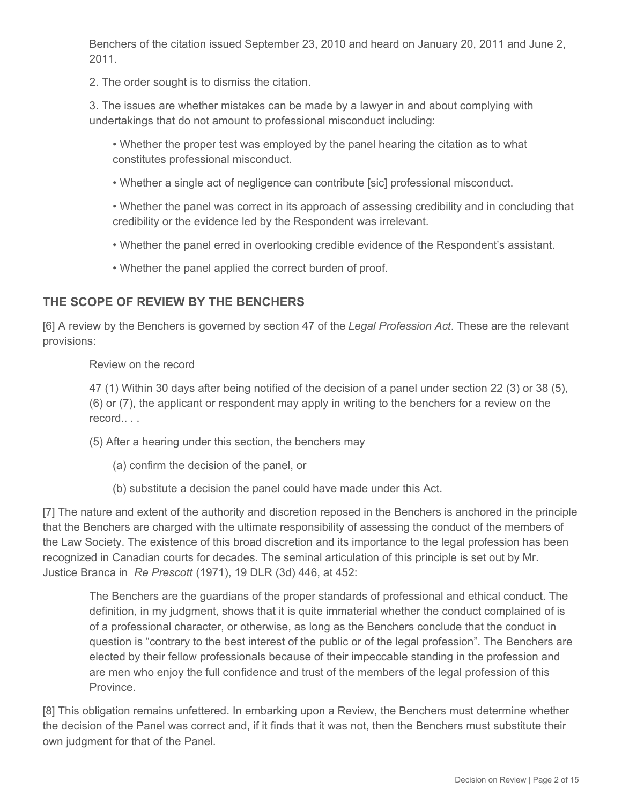Benchers of the citation issued September 23, 2010 and heard on January 20, 2011 and June 2, 2011.

2. The order sought is to dismiss the citation.

3. The issues are whether mistakes can be made by a lawyer in and about complying with undertakings that do not amount to professional misconduct including:

• Whether the proper test was employed by the panel hearing the citation as to what constitutes professional misconduct.

• Whether a single act of negligence can contribute [sic] professional misconduct.

• Whether the panel was correct in its approach of assessing credibility and in concluding that credibility or the evidence led by the Respondent was irrelevant.

• Whether the panel erred in overlooking credible evidence of the Respondent's assistant.

• Whether the panel applied the correct burden of proof.

## **THE SCOPE OF REVIEW BY THE BENCHERS**

[6] A review by the Benchers is governed by section 47 of the *Legal Profession Act*. These are the relevant provisions:

Review on the record

47 (1) Within 30 days after being notified of the decision of a panel under section 22 (3) or 38 (5), (6) or (7), the applicant or respondent may apply in writing to the benchers for a review on the record.. . .

(5) After a hearing under this section, the benchers may

- (a) confirm the decision of the panel, or
- (b) substitute a decision the panel could have made under this Act.

[7] The nature and extent of the authority and discretion reposed in the Benchers is anchored in the principle that the Benchers are charged with the ultimate responsibility of assessing the conduct of the members of the Law Society. The existence of this broad discretion and its importance to the legal profession has been recognized in Canadian courts for decades. The seminal articulation of this principle is set out by Mr. Justice Branca in *Re Prescott* (1971), 19 DLR (3d) 446, at 452:

The Benchers are the guardians of the proper standards of professional and ethical conduct. The definition, in my judgment, shows that it is quite immaterial whether the conduct complained of is of a professional character, or otherwise, as long as the Benchers conclude that the conduct in question is "contrary to the best interest of the public or of the legal profession". The Benchers are elected by their fellow professionals because of their impeccable standing in the profession and are men who enjoy the full confidence and trust of the members of the legal profession of this Province.

[8] This obligation remains unfettered. In embarking upon a Review, the Benchers must determine whether the decision of the Panel was correct and, if it finds that it was not, then the Benchers must substitute their own judgment for that of the Panel.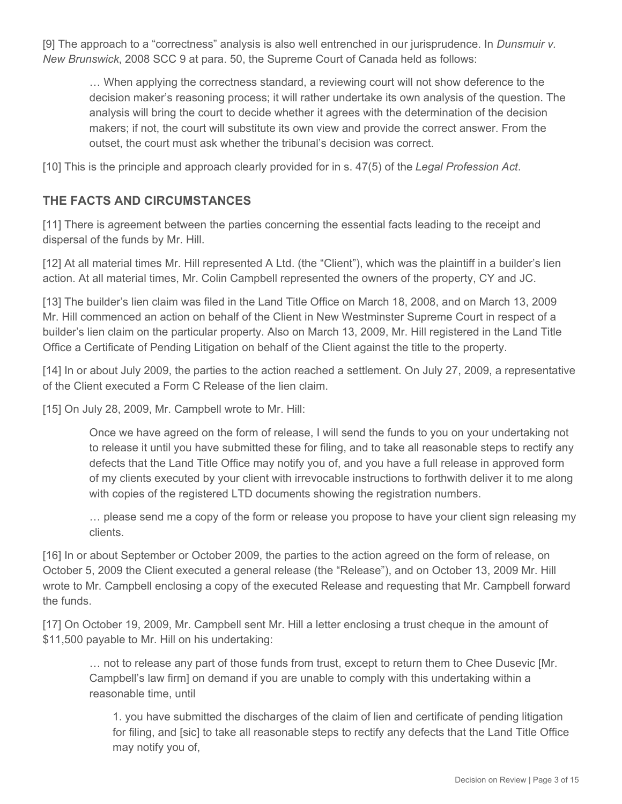[9] The approach to a "correctness" analysis is also well entrenched in our jurisprudence. In *Dunsmuir v. New Brunswick*, 2008 SCC 9 at para. 50, the Supreme Court of Canada held as follows:

… When applying the correctness standard, a reviewing court will not show deference to the decision maker's reasoning process; it will rather undertake its own analysis of the question. The analysis will bring the court to decide whether it agrees with the determination of the decision makers; if not, the court will substitute its own view and provide the correct answer. From the outset, the court must ask whether the tribunal's decision was correct.

[10] This is the principle and approach clearly provided for in s. 47(5) of the *Legal Profession Act*.

## **THE FACTS AND CIRCUMSTANCES**

[11] There is agreement between the parties concerning the essential facts leading to the receipt and dispersal of the funds by Mr. Hill.

[12] At all material times Mr. Hill represented A Ltd. (the "Client"), which was the plaintiff in a builder's lien action. At all material times, Mr. Colin Campbell represented the owners of the property, CY and JC.

[13] The builder's lien claim was filed in the Land Title Office on March 18, 2008, and on March 13, 2009 Mr. Hill commenced an action on behalf of the Client in New Westminster Supreme Court in respect of a builder's lien claim on the particular property. Also on March 13, 2009, Mr. Hill registered in the Land Title Office a Certificate of Pending Litigation on behalf of the Client against the title to the property.

[14] In or about July 2009, the parties to the action reached a settlement. On July 27, 2009, a representative of the Client executed a Form C Release of the lien claim.

[15] On July 28, 2009, Mr. Campbell wrote to Mr. Hill:

Once we have agreed on the form of release, I will send the funds to you on your undertaking not to release it until you have submitted these for filing, and to take all reasonable steps to rectify any defects that the Land Title Office may notify you of, and you have a full release in approved form of my clients executed by your client with irrevocable instructions to forthwith deliver it to me along with copies of the registered LTD documents showing the registration numbers.

… please send me a copy of the form or release you propose to have your client sign releasing my clients.

[16] In or about September or October 2009, the parties to the action agreed on the form of release, on October 5, 2009 the Client executed a general release (the "Release"), and on October 13, 2009 Mr. Hill wrote to Mr. Campbell enclosing a copy of the executed Release and requesting that Mr. Campbell forward the funds.

[17] On October 19, 2009, Mr. Campbell sent Mr. Hill a letter enclosing a trust cheque in the amount of \$11,500 payable to Mr. Hill on his undertaking:

… not to release any part of those funds from trust, except to return them to Chee Dusevic [Mr. Campbell's law firm] on demand if you are unable to comply with this undertaking within a reasonable time, until

1. you have submitted the discharges of the claim of lien and certificate of pending litigation for filing, and [sic] to take all reasonable steps to rectify any defects that the Land Title Office may notify you of,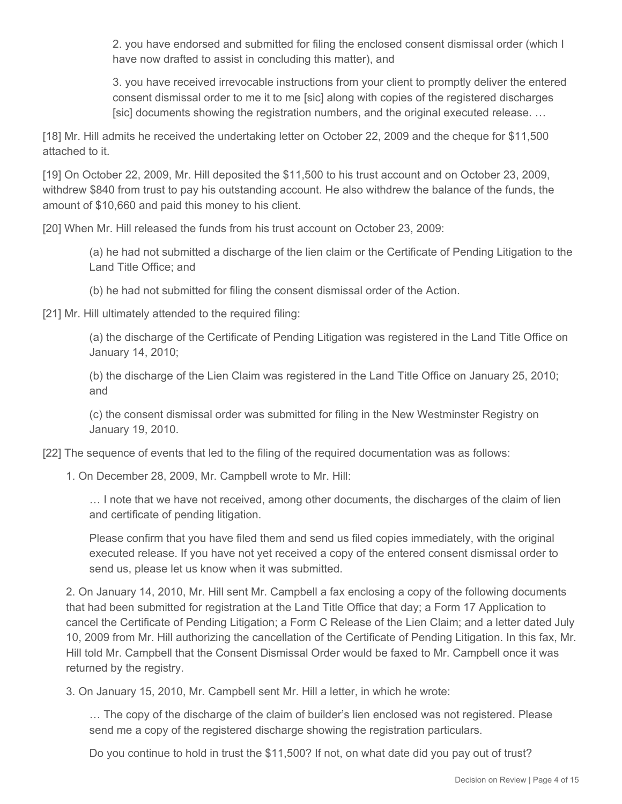2. you have endorsed and submitted for filing the enclosed consent dismissal order (which I have now drafted to assist in concluding this matter), and

3. you have received irrevocable instructions from your client to promptly deliver the entered consent dismissal order to me it to me [sic] along with copies of the registered discharges [sic] documents showing the registration numbers, and the original executed release. …

[18] Mr. Hill admits he received the undertaking letter on October 22, 2009 and the cheque for \$11,500 attached to it.

[19] On October 22, 2009, Mr. Hill deposited the \$11,500 to his trust account and on October 23, 2009, withdrew \$840 from trust to pay his outstanding account. He also withdrew the balance of the funds, the amount of \$10,660 and paid this money to his client.

[20] When Mr. Hill released the funds from his trust account on October 23, 2009:

(a) he had not submitted a discharge of the lien claim or the Certificate of Pending Litigation to the Land Title Office; and

(b) he had not submitted for filing the consent dismissal order of the Action.

[21] Mr. Hill ultimately attended to the required filing:

(a) the discharge of the Certificate of Pending Litigation was registered in the Land Title Office on January 14, 2010;

(b) the discharge of the Lien Claim was registered in the Land Title Office on January 25, 2010; and

(c) the consent dismissal order was submitted for filing in the New Westminster Registry on January 19, 2010.

[22] The sequence of events that led to the filing of the required documentation was as follows:

1. On December 28, 2009, Mr. Campbell wrote to Mr. Hill:

… I note that we have not received, among other documents, the discharges of the claim of lien and certificate of pending litigation.

Please confirm that you have filed them and send us filed copies immediately, with the original executed release. If you have not yet received a copy of the entered consent dismissal order to send us, please let us know when it was submitted.

2. On January 14, 2010, Mr. Hill sent Mr. Campbell a fax enclosing a copy of the following documents that had been submitted for registration at the Land Title Office that day; a Form 17 Application to cancel the Certificate of Pending Litigation; a Form C Release of the Lien Claim; and a letter dated July 10, 2009 from Mr. Hill authorizing the cancellation of the Certificate of Pending Litigation. In this fax, Mr. Hill told Mr. Campbell that the Consent Dismissal Order would be faxed to Mr. Campbell once it was returned by the registry.

3. On January 15, 2010, Mr. Campbell sent Mr. Hill a letter, in which he wrote:

… The copy of the discharge of the claim of builder's lien enclosed was not registered. Please send me a copy of the registered discharge showing the registration particulars.

Do you continue to hold in trust the \$11,500? If not, on what date did you pay out of trust?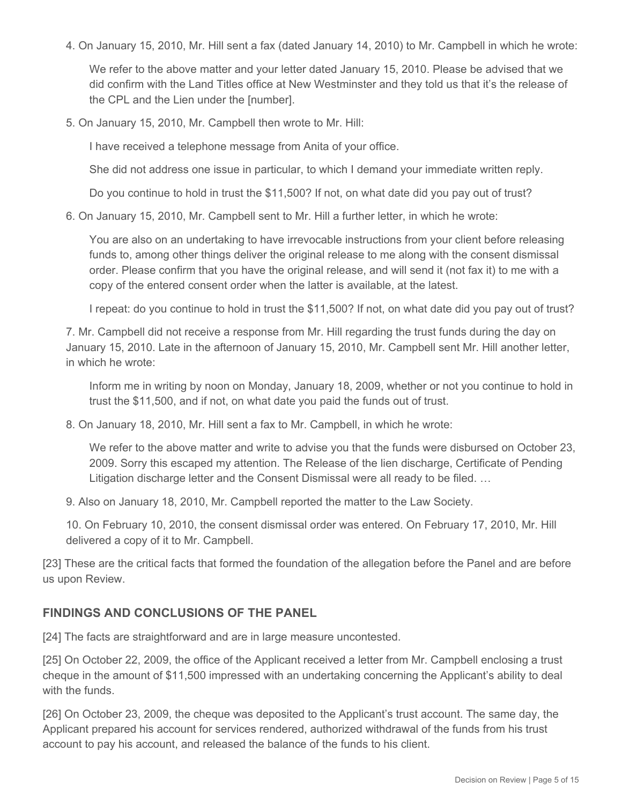4. On January 15, 2010, Mr. Hill sent a fax (dated January 14, 2010) to Mr. Campbell in which he wrote:

We refer to the above matter and your letter dated January 15, 2010. Please be advised that we did confirm with the Land Titles office at New Westminster and they told us that it's the release of the CPL and the Lien under the [number].

5. On January 15, 2010, Mr. Campbell then wrote to Mr. Hill:

I have received a telephone message from Anita of your office.

She did not address one issue in particular, to which I demand your immediate written reply.

Do you continue to hold in trust the \$11,500? If not, on what date did you pay out of trust?

6. On January 15, 2010, Mr. Campbell sent to Mr. Hill a further letter, in which he wrote:

You are also on an undertaking to have irrevocable instructions from your client before releasing funds to, among other things deliver the original release to me along with the consent dismissal order. Please confirm that you have the original release, and will send it (not fax it) to me with a copy of the entered consent order when the latter is available, at the latest.

I repeat: do you continue to hold in trust the \$11,500? If not, on what date did you pay out of trust?

7. Mr. Campbell did not receive a response from Mr. Hill regarding the trust funds during the day on January 15, 2010. Late in the afternoon of January 15, 2010, Mr. Campbell sent Mr. Hill another letter, in which he wrote:

Inform me in writing by noon on Monday, January 18, 2009, whether or not you continue to hold in trust the \$11,500, and if not, on what date you paid the funds out of trust.

8. On January 18, 2010, Mr. Hill sent a fax to Mr. Campbell, in which he wrote:

We refer to the above matter and write to advise you that the funds were disbursed on October 23, 2009. Sorry this escaped my attention. The Release of the lien discharge, Certificate of Pending Litigation discharge letter and the Consent Dismissal were all ready to be filed. …

9. Also on January 18, 2010, Mr. Campbell reported the matter to the Law Society.

10. On February 10, 2010, the consent dismissal order was entered. On February 17, 2010, Mr. Hill delivered a copy of it to Mr. Campbell.

[23] These are the critical facts that formed the foundation of the allegation before the Panel and are before us upon Review.

## **FINDINGS AND CONCLUSIONS OF THE PANEL**

[24] The facts are straightforward and are in large measure uncontested.

[25] On October 22, 2009, the office of the Applicant received a letter from Mr. Campbell enclosing a trust cheque in the amount of \$11,500 impressed with an undertaking concerning the Applicant's ability to deal with the funds.

[26] On October 23, 2009, the cheque was deposited to the Applicant's trust account. The same day, the Applicant prepared his account for services rendered, authorized withdrawal of the funds from his trust account to pay his account, and released the balance of the funds to his client.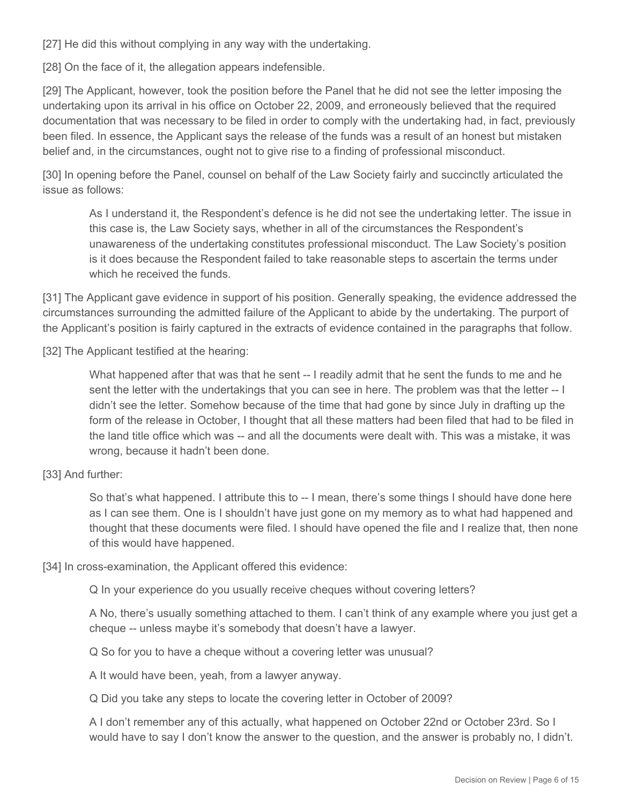[27] He did this without complying in any way with the undertaking.

[28] On the face of it, the allegation appears indefensible.

[29] The Applicant, however, took the position before the Panel that he did not see the letter imposing the undertaking upon its arrival in his office on October 22, 2009, and erroneously believed that the required documentation that was necessary to be filed in order to comply with the undertaking had, in fact, previously been filed. In essence, the Applicant says the release of the funds was a result of an honest but mistaken belief and, in the circumstances, ought not to give rise to a finding of professional misconduct.

[30] In opening before the Panel, counsel on behalf of the Law Society fairly and succinctly articulated the issue as follows:

As I understand it, the Respondent's defence is he did not see the undertaking letter. The issue in this case is, the Law Society says, whether in all of the circumstances the Respondent's unawareness of the undertaking constitutes professional misconduct. The Law Society's position is it does because the Respondent failed to take reasonable steps to ascertain the terms under which he received the funds.

[31] The Applicant gave evidence in support of his position. Generally speaking, the evidence addressed the circumstances surrounding the admitted failure of the Applicant to abide by the undertaking. The purport of the Applicant's position is fairly captured in the extracts of evidence contained in the paragraphs that follow.

[32] The Applicant testified at the hearing:

What happened after that was that he sent -- I readily admit that he sent the funds to me and he sent the letter with the undertakings that you can see in here. The problem was that the letter -- I didn't see the letter. Somehow because of the time that had gone by since July in drafting up the form of the release in October, I thought that all these matters had been filed that had to be filed in the land title office which was -- and all the documents were dealt with. This was a mistake, it was wrong, because it hadn't been done.

[33] And further:

So that's what happened. I attribute this to -- I mean, there's some things I should have done here as I can see them. One is I shouldn't have just gone on my memory as to what had happened and thought that these documents were filed. I should have opened the file and I realize that, then none of this would have happened.

[34] In cross-examination, the Applicant offered this evidence:

Q In your experience do you usually receive cheques without covering letters?

A No, there's usually something attached to them. I can't think of any example where you just get a cheque -- unless maybe it's somebody that doesn't have a lawyer.

Q So for you to have a cheque without a covering letter was unusual?

A It would have been, yeah, from a lawyer anyway.

Q Did you take any steps to locate the covering letter in October of 2009?

A I don't remember any of this actually, what happened on October 22nd or October 23rd. So I would have to say I don't know the answer to the question, and the answer is probably no, I didn't.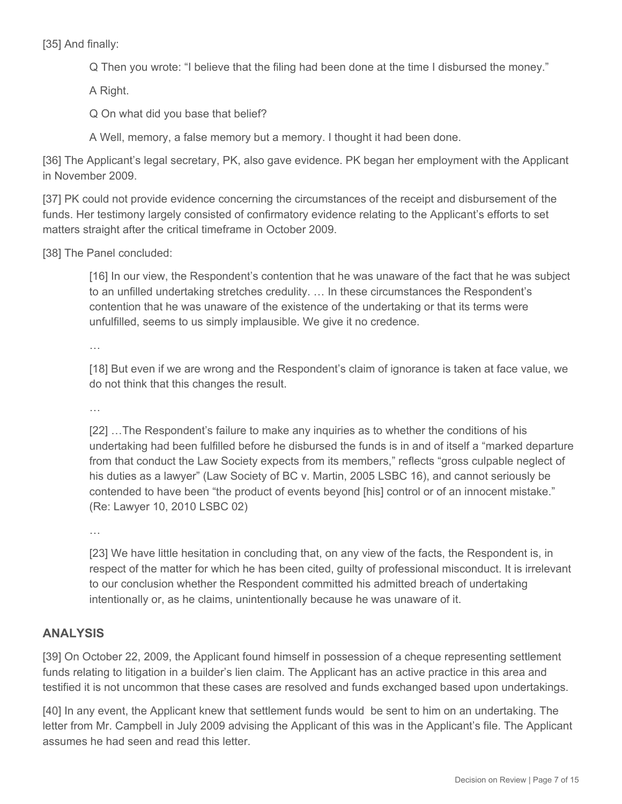[35] And finally:

Q Then you wrote: "I believe that the filing had been done at the time I disbursed the money."

A Right.

Q On what did you base that belief?

A Well, memory, a false memory but a memory. I thought it had been done.

[36] The Applicant's legal secretary, PK, also gave evidence. PK began her employment with the Applicant in November 2009.

[37] PK could not provide evidence concerning the circumstances of the receipt and disbursement of the funds. Her testimony largely consisted of confirmatory evidence relating to the Applicant's efforts to set matters straight after the critical timeframe in October 2009.

[38] The Panel concluded:

[16] In our view, the Respondent's contention that he was unaware of the fact that he was subject to an unfilled undertaking stretches credulity. … In these circumstances the Respondent's contention that he was unaware of the existence of the undertaking or that its terms were unfulfilled, seems to us simply implausible. We give it no credence.

…

[18] But even if we are wrong and the Respondent's claim of ignorance is taken at face value, we do not think that this changes the result.

…

[22] …The Respondent's failure to make any inquiries as to whether the conditions of his undertaking had been fulfilled before he disbursed the funds is in and of itself a "marked departure from that conduct the Law Society expects from its members," reflects "gross culpable neglect of his duties as a lawyer" (Law Society of BC v. Martin, 2005 LSBC 16), and cannot seriously be contended to have been "the product of events beyond [his] control or of an innocent mistake." (Re: Lawyer 10, 2010 LSBC 02)

…

[23] We have little hesitation in concluding that, on any view of the facts, the Respondent is, in respect of the matter for which he has been cited, guilty of professional misconduct. It is irrelevant to our conclusion whether the Respondent committed his admitted breach of undertaking intentionally or, as he claims, unintentionally because he was unaware of it.

## **ANALYSIS**

[39] On October 22, 2009, the Applicant found himself in possession of a cheque representing settlement funds relating to litigation in a builder's lien claim. The Applicant has an active practice in this area and testified it is not uncommon that these cases are resolved and funds exchanged based upon undertakings.

[40] In any event, the Applicant knew that settlement funds would be sent to him on an undertaking. The letter from Mr. Campbell in July 2009 advising the Applicant of this was in the Applicant's file. The Applicant assumes he had seen and read this letter.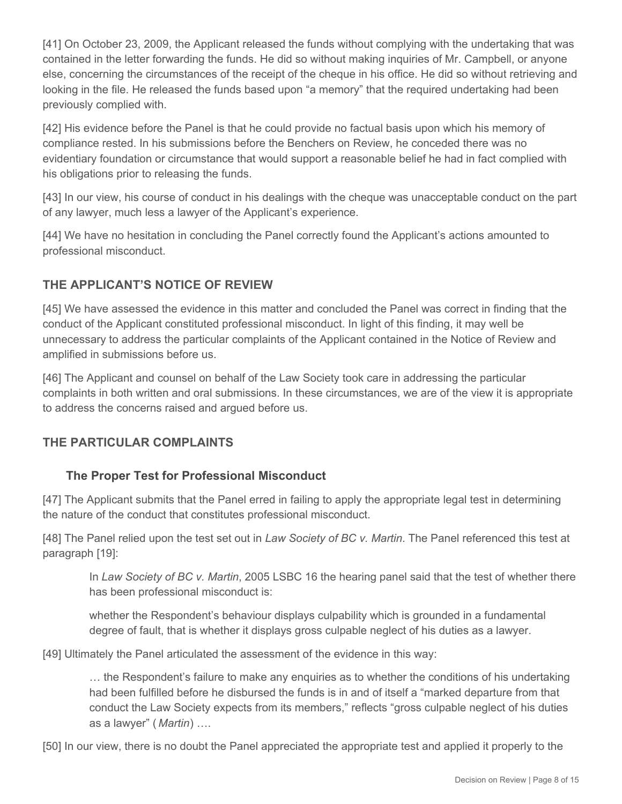[41] On October 23, 2009, the Applicant released the funds without complying with the undertaking that was contained in the letter forwarding the funds. He did so without making inquiries of Mr. Campbell, or anyone else, concerning the circumstances of the receipt of the cheque in his office. He did so without retrieving and looking in the file. He released the funds based upon "a memory" that the required undertaking had been previously complied with.

[42] His evidence before the Panel is that he could provide no factual basis upon which his memory of compliance rested. In his submissions before the Benchers on Review, he conceded there was no evidentiary foundation or circumstance that would support a reasonable belief he had in fact complied with his obligations prior to releasing the funds.

[43] In our view, his course of conduct in his dealings with the cheque was unacceptable conduct on the part of any lawyer, much less a lawyer of the Applicant's experience.

[44] We have no hesitation in concluding the Panel correctly found the Applicant's actions amounted to professional misconduct.

## **THE APPLICANT'S NOTICE OF REVIEW**

[45] We have assessed the evidence in this matter and concluded the Panel was correct in finding that the conduct of the Applicant constituted professional misconduct. In light of this finding, it may well be unnecessary to address the particular complaints of the Applicant contained in the Notice of Review and amplified in submissions before us.

[46] The Applicant and counsel on behalf of the Law Society took care in addressing the particular complaints in both written and oral submissions. In these circumstances, we are of the view it is appropriate to address the concerns raised and argued before us.

## **THE PARTICULAR COMPLAINTS**

## **The Proper Test for Professional Misconduct**

[47] The Applicant submits that the Panel erred in failing to apply the appropriate legal test in determining the nature of the conduct that constitutes professional misconduct.

[48] The Panel relied upon the test set out in *Law Society of BC v. Martin*. The Panel referenced this test at paragraph [19]:

In *Law Society of BC v. Martin*, 2005 LSBC 16 the hearing panel said that the test of whether there has been professional misconduct is:

whether the Respondent's behaviour displays culpability which is grounded in a fundamental degree of fault, that is whether it displays gross culpable neglect of his duties as a lawyer.

[49] Ultimately the Panel articulated the assessment of the evidence in this way:

… the Respondent's failure to make any enquiries as to whether the conditions of his undertaking had been fulfilled before he disbursed the funds is in and of itself a "marked departure from that conduct the Law Society expects from its members," reflects "gross culpable neglect of his duties as a lawyer" ( *Martin*) ….

[50] In our view, there is no doubt the Panel appreciated the appropriate test and applied it properly to the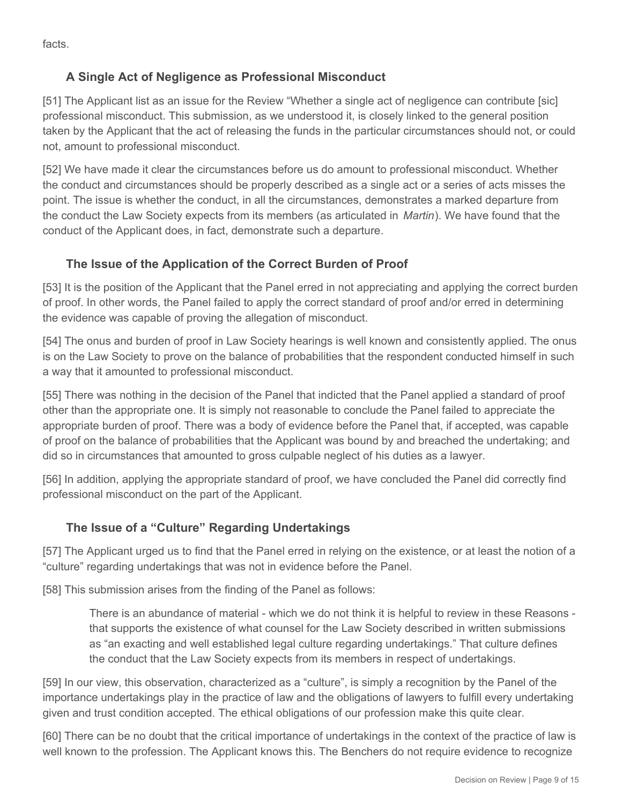facts.

## **A Single Act of Negligence as Professional Misconduct**

[51] The Applicant list as an issue for the Review "Whether a single act of negligence can contribute [sic] professional misconduct. This submission, as we understood it, is closely linked to the general position taken by the Applicant that the act of releasing the funds in the particular circumstances should not, or could not, amount to professional misconduct.

[52] We have made it clear the circumstances before us do amount to professional misconduct. Whether the conduct and circumstances should be properly described as a single act or a series of acts misses the point. The issue is whether the conduct, in all the circumstances, demonstrates a marked departure from the conduct the Law Society expects from its members (as articulated in *Martin*). We have found that the conduct of the Applicant does, in fact, demonstrate such a departure.

# **The Issue of the Application of the Correct Burden of Proof**

[53] It is the position of the Applicant that the Panel erred in not appreciating and applying the correct burden of proof. In other words, the Panel failed to apply the correct standard of proof and/or erred in determining the evidence was capable of proving the allegation of misconduct.

[54] The onus and burden of proof in Law Society hearings is well known and consistently applied. The onus is on the Law Society to prove on the balance of probabilities that the respondent conducted himself in such a way that it amounted to professional misconduct.

[55] There was nothing in the decision of the Panel that indicted that the Panel applied a standard of proof other than the appropriate one. It is simply not reasonable to conclude the Panel failed to appreciate the appropriate burden of proof. There was a body of evidence before the Panel that, if accepted, was capable of proof on the balance of probabilities that the Applicant was bound by and breached the undertaking; and did so in circumstances that amounted to gross culpable neglect of his duties as a lawyer.

[56] In addition, applying the appropriate standard of proof, we have concluded the Panel did correctly find professional misconduct on the part of the Applicant.

## **The Issue of a "Culture" Regarding Undertakings**

[57] The Applicant urged us to find that the Panel erred in relying on the existence, or at least the notion of a "culture" regarding undertakings that was not in evidence before the Panel.

[58] This submission arises from the finding of the Panel as follows:

There is an abundance of material - which we do not think it is helpful to review in these Reasons that supports the existence of what counsel for the Law Society described in written submissions as "an exacting and well established legal culture regarding undertakings." That culture defines the conduct that the Law Society expects from its members in respect of undertakings.

[59] In our view, this observation, characterized as a "culture", is simply a recognition by the Panel of the importance undertakings play in the practice of law and the obligations of lawyers to fulfill every undertaking given and trust condition accepted. The ethical obligations of our profession make this quite clear.

[60] There can be no doubt that the critical importance of undertakings in the context of the practice of law is well known to the profession. The Applicant knows this. The Benchers do not require evidence to recognize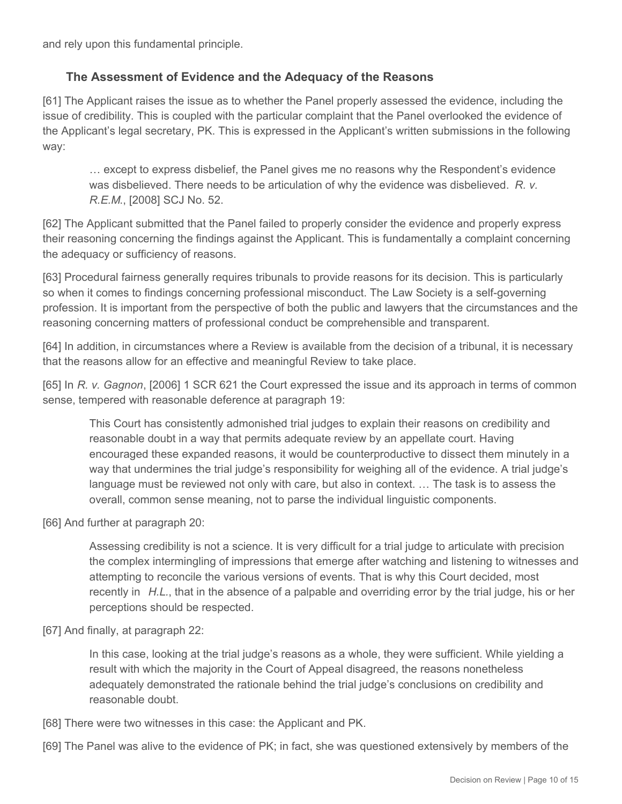and rely upon this fundamental principle.

#### **The Assessment of Evidence and the Adequacy of the Reasons**

[61] The Applicant raises the issue as to whether the Panel properly assessed the evidence, including the issue of credibility. This is coupled with the particular complaint that the Panel overlooked the evidence of the Applicant's legal secretary, PK. This is expressed in the Applicant's written submissions in the following way:

… except to express disbelief, the Panel gives me no reasons why the Respondent's evidence was disbelieved. There needs to be articulation of why the evidence was disbelieved. *R. v. R.E.M*., [2008] SCJ No. 52.

[62] The Applicant submitted that the Panel failed to properly consider the evidence and properly express their reasoning concerning the findings against the Applicant. This is fundamentally a complaint concerning the adequacy or sufficiency of reasons.

[63] Procedural fairness generally requires tribunals to provide reasons for its decision. This is particularly so when it comes to findings concerning professional misconduct. The Law Society is a self-governing profession. It is important from the perspective of both the public and lawyers that the circumstances and the reasoning concerning matters of professional conduct be comprehensible and transparent.

[64] In addition, in circumstances where a Review is available from the decision of a tribunal, it is necessary that the reasons allow for an effective and meaningful Review to take place.

[65] In *R. v. Gagnon*, [2006] 1 SCR 621 the Court expressed the issue and its approach in terms of common sense, tempered with reasonable deference at paragraph 19:

This Court has consistently admonished trial judges to explain their reasons on credibility and reasonable doubt in a way that permits adequate review by an appellate court. Having encouraged these expanded reasons, it would be counterproductive to dissect them minutely in a way that undermines the trial judge's responsibility for weighing all of the evidence. A trial judge's language must be reviewed not only with care, but also in context. … The task is to assess the overall, common sense meaning, not to parse the individual linguistic components.

[66] And further at paragraph 20:

Assessing credibility is not a science. It is very difficult for a trial judge to articulate with precision the complex intermingling of impressions that emerge after watching and listening to witnesses and attempting to reconcile the various versions of events. That is why this Court decided, most recently in *H.L.*, that in the absence of a palpable and overriding error by the trial judge, his or her perceptions should be respected.

[67] And finally, at paragraph 22:

In this case, looking at the trial judge's reasons as a whole, they were sufficient. While yielding a result with which the majority in the Court of Appeal disagreed, the reasons nonetheless adequately demonstrated the rationale behind the trial judge's conclusions on credibility and reasonable doubt.

- [68] There were two witnesses in this case: the Applicant and PK.
- [69] The Panel was alive to the evidence of PK; in fact, she was questioned extensively by members of the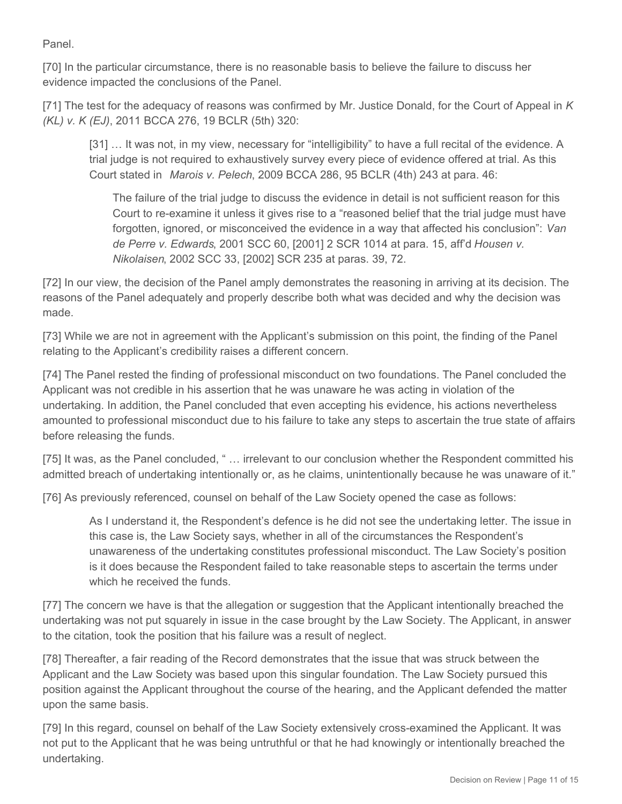Panel.

[70] In the particular circumstance, there is no reasonable basis to believe the failure to discuss her evidence impacted the conclusions of the Panel.

[71] The test for the adequacy of reasons was confirmed by Mr. Justice Donald, for the Court of Appeal in *K (KL) v. K (EJ)*, 2011 BCCA 276, 19 BCLR (5th) 320:

[31] ... It was not, in my view, necessary for "intelligibility" to have a full recital of the evidence. A trial judge is not required to exhaustively survey every piece of evidence offered at trial. As this Court stated in *Marois v. Pelech*, 2009 BCCA 286, 95 BCLR (4th) 243 at para. 46:

The failure of the trial judge to discuss the evidence in detail is not sufficient reason for this Court to re-examine it unless it gives rise to a "reasoned belief that the trial judge must have forgotten, ignored, or misconceived the evidence in a way that affected his conclusion": *Van de Perre v. Edwards*, 2001 SCC 60, [2001] 2 SCR 1014 at para. 15, aff'd *Housen v. Nikolaisen*, 2002 SCC 33, [2002] SCR 235 at paras. 39, 72.

[72] In our view, the decision of the Panel amply demonstrates the reasoning in arriving at its decision. The reasons of the Panel adequately and properly describe both what was decided and why the decision was made.

[73] While we are not in agreement with the Applicant's submission on this point, the finding of the Panel relating to the Applicant's credibility raises a different concern.

[74] The Panel rested the finding of professional misconduct on two foundations. The Panel concluded the Applicant was not credible in his assertion that he was unaware he was acting in violation of the undertaking. In addition, the Panel concluded that even accepting his evidence, his actions nevertheless amounted to professional misconduct due to his failure to take any steps to ascertain the true state of affairs before releasing the funds.

[75] It was, as the Panel concluded, " ... irrelevant to our conclusion whether the Respondent committed his admitted breach of undertaking intentionally or, as he claims, unintentionally because he was unaware of it."

[76] As previously referenced, counsel on behalf of the Law Society opened the case as follows:

As I understand it, the Respondent's defence is he did not see the undertaking letter. The issue in this case is, the Law Society says, whether in all of the circumstances the Respondent's unawareness of the undertaking constitutes professional misconduct. The Law Society's position is it does because the Respondent failed to take reasonable steps to ascertain the terms under which he received the funds.

[77] The concern we have is that the allegation or suggestion that the Applicant intentionally breached the undertaking was not put squarely in issue in the case brought by the Law Society. The Applicant, in answer to the citation, took the position that his failure was a result of neglect.

[78] Thereafter, a fair reading of the Record demonstrates that the issue that was struck between the Applicant and the Law Society was based upon this singular foundation. The Law Society pursued this position against the Applicant throughout the course of the hearing, and the Applicant defended the matter upon the same basis.

[79] In this regard, counsel on behalf of the Law Society extensively cross-examined the Applicant. It was not put to the Applicant that he was being untruthful or that he had knowingly or intentionally breached the undertaking.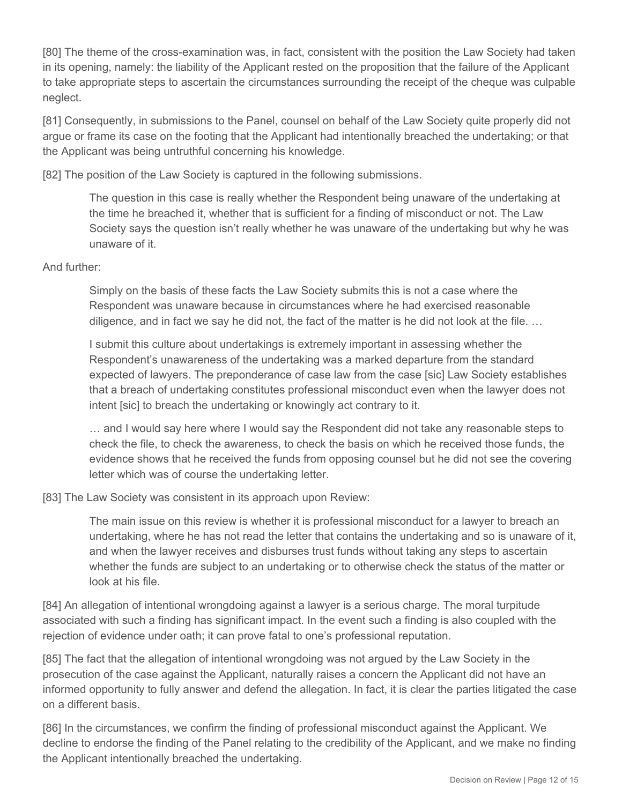[80] The theme of the cross-examination was, in fact, consistent with the position the Law Society had taken in its opening, namely: the liability of the Applicant rested on the proposition that the failure of the Applicant to take appropriate steps to ascertain the circumstances surrounding the receipt of the cheque was culpable neglect.

[81] Consequently, in submissions to the Panel, counsel on behalf of the Law Society quite properly did not argue or frame its case on the footing that the Applicant had intentionally breached the undertaking; or that the Applicant was being untruthful concerning his knowledge.

[82] The position of the Law Society is captured in the following submissions.

The question in this case is really whether the Respondent being unaware of the undertaking at the time he breached it, whether that is sufficient for a finding of misconduct or not. The Law Society says the question isn't really whether he was unaware of the undertaking but why he was unaware of it.

#### And further:

Simply on the basis of these facts the Law Society submits this is not a case where the Respondent was unaware because in circumstances where he had exercised reasonable diligence, and in fact we say he did not, the fact of the matter is he did not look at the file. …

I submit this culture about undertakings is extremely important in assessing whether the Respondent's unawareness of the undertaking was a marked departure from the standard expected of lawyers. The preponderance of case law from the case [sic] Law Society establishes that a breach of undertaking constitutes professional misconduct even when the lawyer does not intent [sic] to breach the undertaking or knowingly act contrary to it.

… and I would say here where I would say the Respondent did not take any reasonable steps to check the file, to check the awareness, to check the basis on which he received those funds, the evidence shows that he received the funds from opposing counsel but he did not see the covering letter which was of course the undertaking letter.

[83] The Law Society was consistent in its approach upon Review:

The main issue on this review is whether it is professional misconduct for a lawyer to breach an undertaking, where he has not read the letter that contains the undertaking and so is unaware of it, and when the lawyer receives and disburses trust funds without taking any steps to ascertain whether the funds are subject to an undertaking or to otherwise check the status of the matter or look at his file.

[84] An allegation of intentional wrongdoing against a lawyer is a serious charge. The moral turpitude associated with such a finding has significant impact. In the event such a finding is also coupled with the rejection of evidence under oath; it can prove fatal to one's professional reputation.

[85] The fact that the allegation of intentional wrongdoing was not argued by the Law Society in the prosecution of the case against the Applicant, naturally raises a concern the Applicant did not have an informed opportunity to fully answer and defend the allegation. In fact, it is clear the parties litigated the case on a different basis.

[86] In the circumstances, we confirm the finding of professional misconduct against the Applicant. We decline to endorse the finding of the Panel relating to the credibility of the Applicant, and we make no finding the Applicant intentionally breached the undertaking.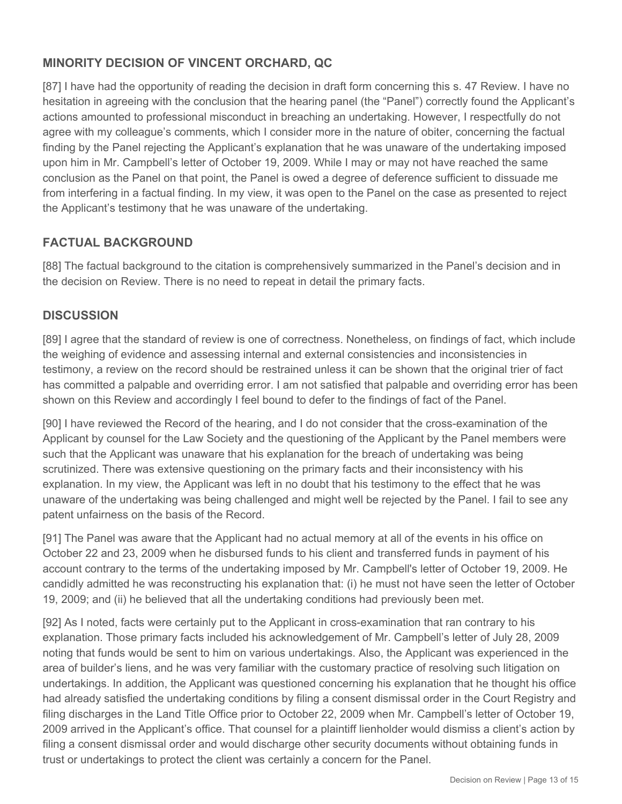# **MINORITY DECISION OF VINCENT ORCHARD, QC**

[87] I have had the opportunity of reading the decision in draft form concerning this s. 47 Review. I have no hesitation in agreeing with the conclusion that the hearing panel (the "Panel") correctly found the Applicant's actions amounted to professional misconduct in breaching an undertaking. However, I respectfully do not agree with my colleague's comments, which I consider more in the nature of obiter, concerning the factual finding by the Panel rejecting the Applicant's explanation that he was unaware of the undertaking imposed upon him in Mr. Campbell's letter of October 19, 2009. While I may or may not have reached the same conclusion as the Panel on that point, the Panel is owed a degree of deference sufficient to dissuade me from interfering in a factual finding. In my view, it was open to the Panel on the case as presented to reject the Applicant's testimony that he was unaware of the undertaking.

## **FACTUAL BACKGROUND**

[88] The factual background to the citation is comprehensively summarized in the Panel's decision and in the decision on Review. There is no need to repeat in detail the primary facts.

## **DISCUSSION**

[89] I agree that the standard of review is one of correctness. Nonetheless, on findings of fact, which include the weighing of evidence and assessing internal and external consistencies and inconsistencies in testimony, a review on the record should be restrained unless it can be shown that the original trier of fact has committed a palpable and overriding error. I am not satisfied that palpable and overriding error has been shown on this Review and accordingly I feel bound to defer to the findings of fact of the Panel.

[90] I have reviewed the Record of the hearing, and I do not consider that the cross-examination of the Applicant by counsel for the Law Society and the questioning of the Applicant by the Panel members were such that the Applicant was unaware that his explanation for the breach of undertaking was being scrutinized. There was extensive questioning on the primary facts and their inconsistency with his explanation. In my view, the Applicant was left in no doubt that his testimony to the effect that he was unaware of the undertaking was being challenged and might well be rejected by the Panel. I fail to see any patent unfairness on the basis of the Record.

[91] The Panel was aware that the Applicant had no actual memory at all of the events in his office on October 22 and 23, 2009 when he disbursed funds to his client and transferred funds in payment of his account contrary to the terms of the undertaking imposed by Mr. Campbell's letter of October 19, 2009. He candidly admitted he was reconstructing his explanation that: (i) he must not have seen the letter of October 19, 2009; and (ii) he believed that all the undertaking conditions had previously been met.

[92] As I noted, facts were certainly put to the Applicant in cross-examination that ran contrary to his explanation. Those primary facts included his acknowledgement of Mr. Campbell's letter of July 28, 2009 noting that funds would be sent to him on various undertakings. Also, the Applicant was experienced in the area of builder's liens, and he was very familiar with the customary practice of resolving such litigation on undertakings. In addition, the Applicant was questioned concerning his explanation that he thought his office had already satisfied the undertaking conditions by filing a consent dismissal order in the Court Registry and filing discharges in the Land Title Office prior to October 22, 2009 when Mr. Campbell's letter of October 19, 2009 arrived in the Applicant's office. That counsel for a plaintiff lienholder would dismiss a client's action by filing a consent dismissal order and would discharge other security documents without obtaining funds in trust or undertakings to protect the client was certainly a concern for the Panel.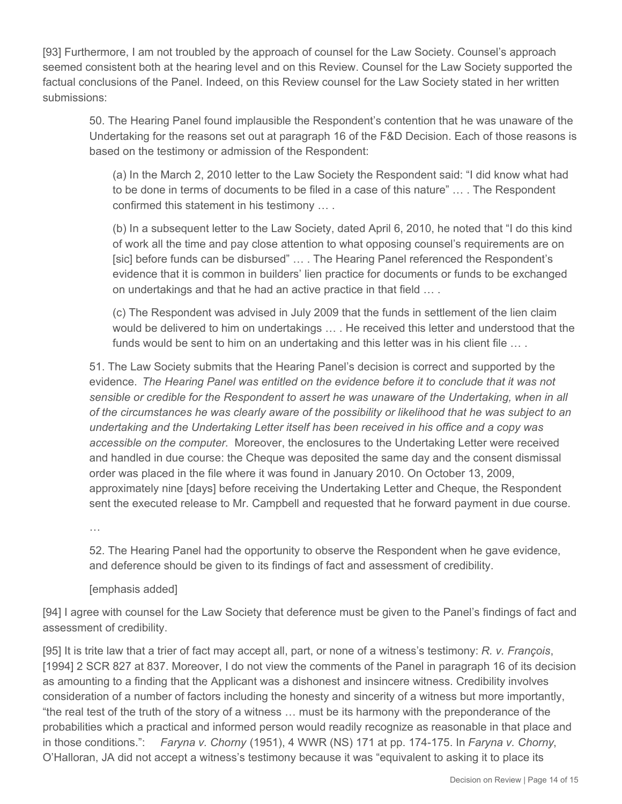[93] Furthermore, I am not troubled by the approach of counsel for the Law Society. Counsel's approach seemed consistent both at the hearing level and on this Review. Counsel for the Law Society supported the factual conclusions of the Panel. Indeed, on this Review counsel for the Law Society stated in her written submissions:

50. The Hearing Panel found implausible the Respondent's contention that he was unaware of the Undertaking for the reasons set out at paragraph 16 of the F&D Decision. Each of those reasons is based on the testimony or admission of the Respondent:

(a) In the March 2, 2010 letter to the Law Society the Respondent said: "I did know what had to be done in terms of documents to be filed in a case of this nature" … . The Respondent confirmed this statement in his testimony … .

(b) In a subsequent letter to the Law Society, dated April 6, 2010, he noted that "I do this kind of work all the time and pay close attention to what opposing counsel's requirements are on [sic] before funds can be disbursed" … . The Hearing Panel referenced the Respondent's evidence that it is common in builders' lien practice for documents or funds to be exchanged on undertakings and that he had an active practice in that field … .

(c) The Respondent was advised in July 2009 that the funds in settlement of the lien claim would be delivered to him on undertakings … . He received this letter and understood that the funds would be sent to him on an undertaking and this letter was in his client file ....

51. The Law Society submits that the Hearing Panel's decision is correct and supported by the evidence. *The Hearing Panel was entitled on the evidence before it to conclude that it was not sensible or credible for the Respondent to assert he was unaware of the Undertaking, when in all of the circumstances he was clearly aware of the possibility or likelihood that he was subject to an undertaking and the Undertaking Letter itself has been received in his office and a copy was accessible on the computer.* Moreover, the enclosures to the Undertaking Letter were received and handled in due course: the Cheque was deposited the same day and the consent dismissal order was placed in the file where it was found in January 2010. On October 13, 2009, approximately nine [days] before receiving the Undertaking Letter and Cheque, the Respondent sent the executed release to Mr. Campbell and requested that he forward payment in due course.

…

52. The Hearing Panel had the opportunity to observe the Respondent when he gave evidence, and deference should be given to its findings of fact and assessment of credibility.

#### [emphasis added]

[94] I agree with counsel for the Law Society that deference must be given to the Panel's findings of fact and assessment of credibility.

[95] It is trite law that a trier of fact may accept all, part, or none of a witness's testimony: *R. v. François*, [1994] 2 SCR 827 at 837. Moreover, I do not view the comments of the Panel in paragraph 16 of its decision as amounting to a finding that the Applicant was a dishonest and insincere witness. Credibility involves consideration of a number of factors including the honesty and sincerity of a witness but more importantly, "the real test of the truth of the story of a witness … must be its harmony with the preponderance of the probabilities which a practical and informed person would readily recognize as reasonable in that place and in those conditions.": *Faryna v. Chorny* (1951), 4 WWR (NS) 171 at pp. 174-175. In *Faryna v. Chorny*, O'Halloran, JA did not accept a witness's testimony because it was "equivalent to asking it to place its